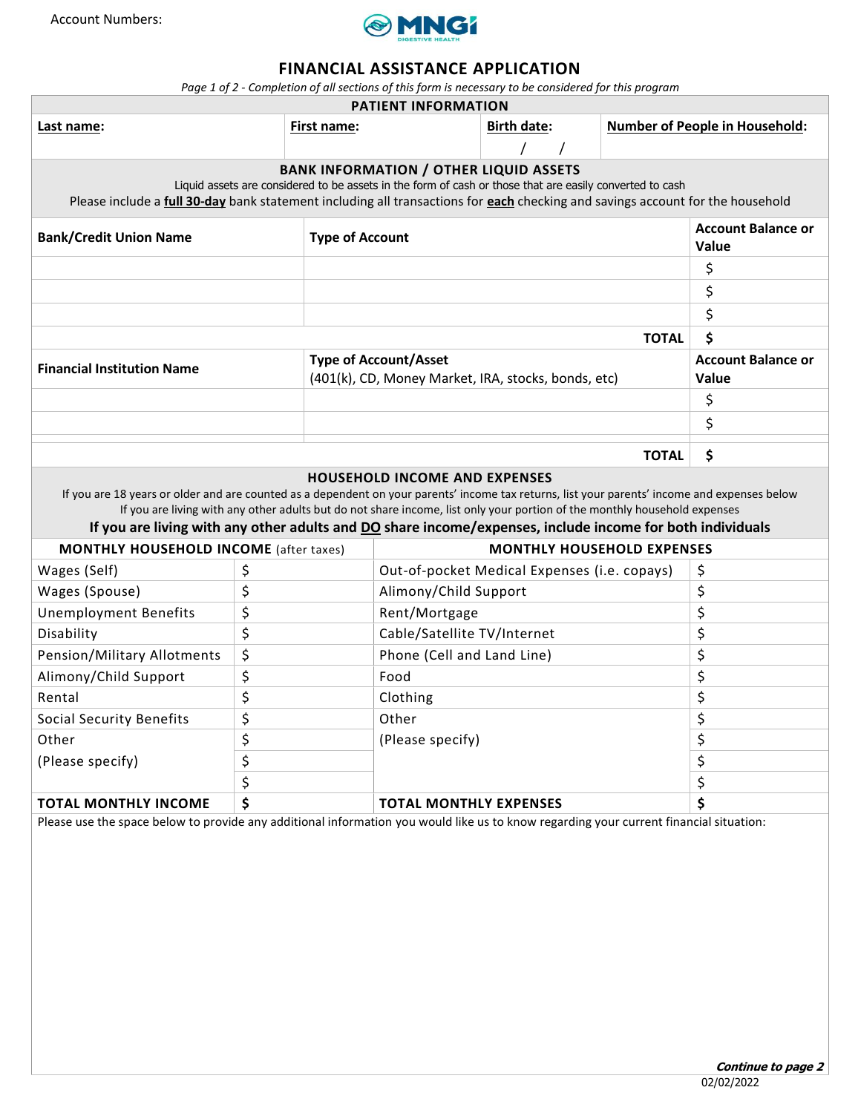

# **FINANCIAL ASSISTANCE APPLICATION**

*Page 1 of 2 - Completion of all sections of this form is necessary to be considered for this program*

| <b>PATIENT INFORMATION</b>                                                                                                                                                                                                                                                                                                                                                                                                      |    |             |                                                                                     |                                           |  |              |                                       |
|---------------------------------------------------------------------------------------------------------------------------------------------------------------------------------------------------------------------------------------------------------------------------------------------------------------------------------------------------------------------------------------------------------------------------------|----|-------------|-------------------------------------------------------------------------------------|-------------------------------------------|--|--------------|---------------------------------------|
| Last name:                                                                                                                                                                                                                                                                                                                                                                                                                      |    | First name: |                                                                                     | <b>Birth date:</b>                        |  |              | <b>Number of People in Household:</b> |
|                                                                                                                                                                                                                                                                                                                                                                                                                                 |    |             |                                                                                     |                                           |  |              |                                       |
| <b>BANK INFORMATION / OTHER LIQUID ASSETS</b><br>Liquid assets are considered to be assets in the form of cash or those that are easily converted to cash<br>Please include a full 30-day bank statement including all transactions for each checking and savings account for the household                                                                                                                                     |    |             |                                                                                     |                                           |  |              |                                       |
| <b>Bank/Credit Union Name</b>                                                                                                                                                                                                                                                                                                                                                                                                   |    |             | <b>Type of Account</b>                                                              | <b>Account Balance or</b><br><b>Value</b> |  |              |                                       |
|                                                                                                                                                                                                                                                                                                                                                                                                                                 |    |             |                                                                                     |                                           |  |              | \$                                    |
|                                                                                                                                                                                                                                                                                                                                                                                                                                 |    |             |                                                                                     |                                           |  |              | \$                                    |
|                                                                                                                                                                                                                                                                                                                                                                                                                                 |    |             |                                                                                     |                                           |  |              | \$                                    |
|                                                                                                                                                                                                                                                                                                                                                                                                                                 |    |             |                                                                                     |                                           |  | <b>TOTAL</b> | \$                                    |
| <b>Financial Institution Name</b>                                                                                                                                                                                                                                                                                                                                                                                               |    |             | <b>Type of Account/Asset</b><br>(401(k), CD, Money Market, IRA, stocks, bonds, etc) | <b>Account Balance or</b><br><b>Value</b> |  |              |                                       |
|                                                                                                                                                                                                                                                                                                                                                                                                                                 |    |             |                                                                                     |                                           |  |              | \$                                    |
|                                                                                                                                                                                                                                                                                                                                                                                                                                 |    |             |                                                                                     |                                           |  |              | \$                                    |
|                                                                                                                                                                                                                                                                                                                                                                                                                                 |    |             |                                                                                     |                                           |  |              |                                       |
| \$<br><b>TOTAL</b>                                                                                                                                                                                                                                                                                                                                                                                                              |    |             |                                                                                     |                                           |  |              |                                       |
| <b>HOUSEHOLD INCOME AND EXPENSES</b><br>If you are 18 years or older and are counted as a dependent on your parents' income tax returns, list your parents' income and expenses below<br>If you are living with any other adults but do not share income, list only your portion of the monthly household expenses<br>If you are living with any other adults and DO share income/expenses, include income for both individuals |    |             |                                                                                     |                                           |  |              |                                       |
| <b>MONTHLY HOUSEHOLD INCOME</b> (after taxes)                                                                                                                                                                                                                                                                                                                                                                                   |    |             | <b>MONTHLY HOUSEHOLD EXPENSES</b>                                                   |                                           |  |              |                                       |
| Wages (Self)                                                                                                                                                                                                                                                                                                                                                                                                                    | \$ |             | Out-of-pocket Medical Expenses (i.e. copays)                                        |                                           |  |              | \$                                    |
| Wages (Spouse)                                                                                                                                                                                                                                                                                                                                                                                                                  | \$ |             | Alimony/Child Support                                                               | \$                                        |  |              |                                       |
| <b>Unemployment Benefits</b>                                                                                                                                                                                                                                                                                                                                                                                                    | \$ |             | Rent/Mortgage                                                                       |                                           |  |              | \$                                    |
| Disability                                                                                                                                                                                                                                                                                                                                                                                                                      | \$ |             | Cable/Satellite TV/Internet                                                         |                                           |  |              | \$                                    |
| Pension/Military Allotments                                                                                                                                                                                                                                                                                                                                                                                                     | \$ |             | Phone (Cell and Land Line)                                                          |                                           |  |              | \$                                    |
| Alimony/Child Support                                                                                                                                                                                                                                                                                                                                                                                                           | \$ |             | Food                                                                                |                                           |  |              | \$                                    |
| Rental                                                                                                                                                                                                                                                                                                                                                                                                                          | \$ |             | Clothing                                                                            |                                           |  |              | \$                                    |
| Social Security Benefits                                                                                                                                                                                                                                                                                                                                                                                                        | \$ |             | Other                                                                               |                                           |  |              | \$                                    |
| Other                                                                                                                                                                                                                                                                                                                                                                                                                           | \$ |             | (Please specify)                                                                    |                                           |  | \$           |                                       |
| \$<br>(Please specify)                                                                                                                                                                                                                                                                                                                                                                                                          |    |             |                                                                                     |                                           |  | \$           |                                       |
|                                                                                                                                                                                                                                                                                                                                                                                                                                 | \$ |             |                                                                                     |                                           |  |              | \$                                    |
| <b>TOTAL MONTHLY INCOME</b>                                                                                                                                                                                                                                                                                                                                                                                                     | \$ |             | <b>TOTAL MONTHLY EXPENSES</b>                                                       |                                           |  |              | \$                                    |
| Please use the space below to provide any additional information you would like us to know regarding your current financial situation:                                                                                                                                                                                                                                                                                          |    |             |                                                                                     |                                           |  |              |                                       |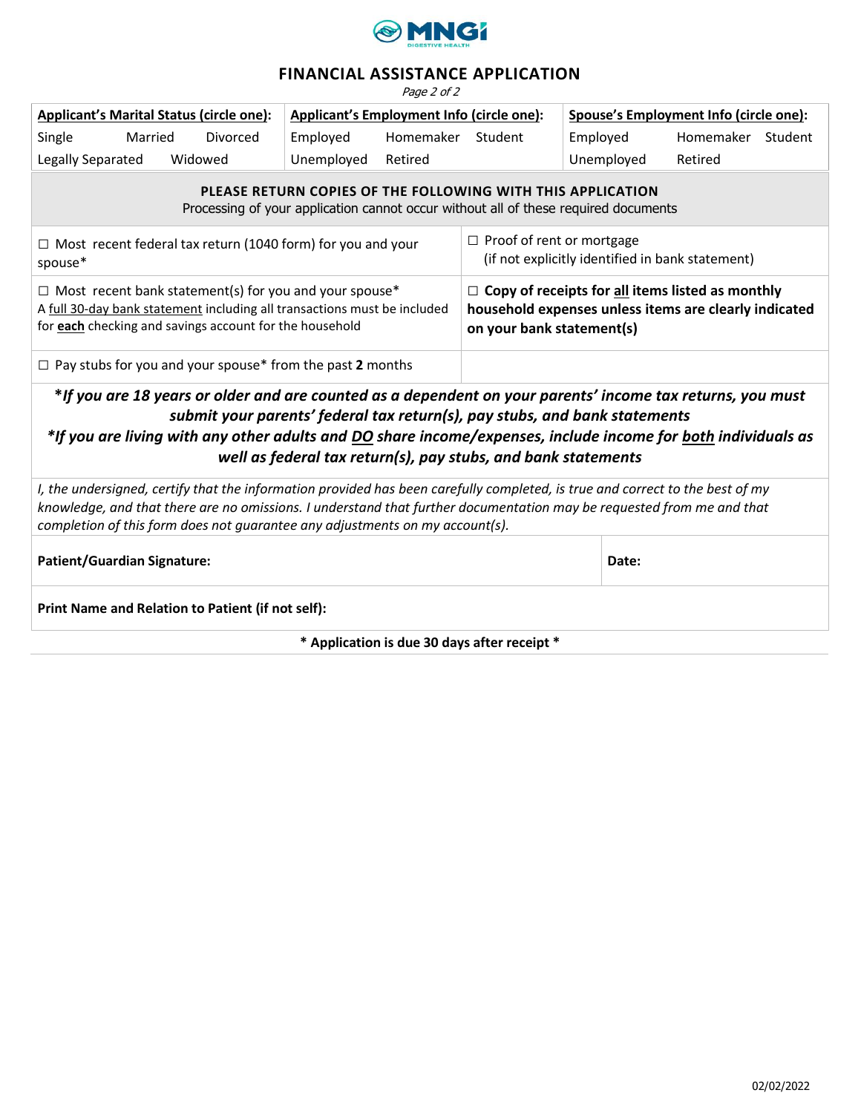

# **FINANCIAL ASSISTANCE APPLICATION**

Page 2 of 2

| <b>Applicant's Marital Status (circle one):</b> |         |          | Applicant's Employment Info (circle one): |           |         | Spouse's Employment Info (circle one): |           |         |
|-------------------------------------------------|---------|----------|-------------------------------------------|-----------|---------|----------------------------------------|-----------|---------|
| Single                                          | Married | Divorced | Employed                                  | Homemaker | Student | Employed                               | Homemaker | Student |
| Legally Separated                               |         | Widowed  | Unemployed                                | Retired   |         | Unemployed                             | Retired   |         |

**PLEASE RETURN COPIES OF THE FOLLOWING WITH THIS APPLICATION**

Processing of your application cannot occur without all of these required documents

| $\Box$ Most recent federal tax return (1040 form) for you and your       | $\Box$ Proof of rent or mortgage                        |
|--------------------------------------------------------------------------|---------------------------------------------------------|
| spouse*                                                                  | (if not explicitly identified in bank statement)        |
| $\Box$ Most recent bank statement(s) for you and your spouse*            | $\Box$ Copy of receipts for all items listed as monthly |
| A full 30-day bank statement including all transactions must be included | household expenses unless items are clearly indicated   |
| for each checking and savings account for the household                  | on your bank statement(s)                               |
|                                                                          |                                                         |

□ Pay stubs for you and your spouse\* from the past **2** months

**\****If you are 18 years or older and are counted as a dependent on your parents' income tax returns, you must submit your parents' federal tax return(s), pay stubs, and bank statements \*If you are living with any other adults and DO share income/expenses, include income for both individuals as* 

*well as federal tax return(s), pay stubs, and bank statements*

*I, the undersigned, certify that the information provided has been carefully completed, is true and correct to the best of my knowledge, and that there are no omissions. I understand that further documentation may be requested from me and that completion of this form does not guarantee any adjustments on my account(s).*

**Patient/Guardian Signature: Date:**

**Print Name and Relation to Patient (if not self):**

**\* Application is due 30 days after receipt \***